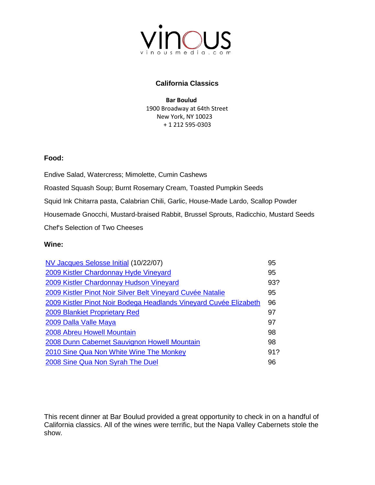

## **California Classics**

 **[Bar Boulud](http://www.barboulud.com/nyc/menu)** 1900 Broadway at 64th Street New York, NY 10023 + 1 212 595-0303

## **Food:**

Endive Salad, Watercress; Mimolette, Cumin Cashews

Roasted Squash Soup; Burnt Rosemary Cream, Toasted Pumpkin Seeds

Squid Ink Chitarra pasta, Calabrian Chili, Garlic, House-Made Lardo, Scallop Powder

Housemade Gnocchi, Mustard-braised Rabbit, Brussel Sprouts, Radicchio, Mustard Seeds

Chef's Selection of Two Cheeses

## **Wine:**

| NV Jacques Selosse Initial (10/22/07)                             | 95  |
|-------------------------------------------------------------------|-----|
| 2009 Kistler Chardonnay Hyde Vineyard                             | 95  |
| 2009 Kistler Chardonnay Hudson Vineyard                           | 93? |
| 2009 Kistler Pinot Noir Silver Belt Vineyard Cuvée Natalie        | 95  |
| 2009 Kistler Pinot Noir Bodega Headlands Vineyard Cuvée Elizabeth | 96  |
| 2009 Blankiet Proprietary Red                                     | 97  |
| 2009 Dalla Valle Maya                                             | 97  |
| <b>2008 Abreu Howell Mountain</b>                                 | 98  |
| 2008 Dunn Cabernet Sauvignon Howell Mountain                      | 98  |
| 2010 Sine Qua Non White Wine The Monkey                           | 91? |
| 2008 Sine Qua Non Syrah The Duel                                  | 96  |

This recent dinner at Bar Boulud provided a great opportunity to check in on a handful of California classics. All of the wines were terrific, but the Napa Valley Cabernets stole the show.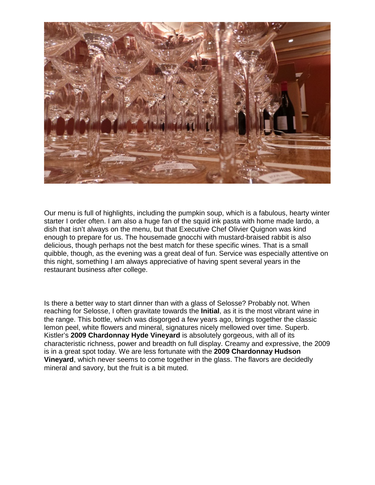

Our menu is full of highlights, including the pumpkin soup, which is a fabulous, hearty winter starter I order often. I am also a huge fan of the squid ink pasta with home made lardo, a dish that isn't always on the menu, but that Executive Chef Olivier Quignon was kind enough to prepare for us. The housemade gnocchi with mustard-braised rabbit is also delicious, though perhaps not the best match for these specific wines. That is a small quibble, though, as the evening was a great deal of fun. Service was especially attentive on this night, something I am always appreciative of having spent several years in the restaurant business after college.

Is there a better way to start dinner than with a glass of Selosse? Probably not. When reaching for Selosse, I often gravitate towards the **Initial**, as it is the most vibrant wine in the range. This bottle, which was disgorged a few years ago, brings together the classic lemon peel, white flowers and mineral, signatures nicely mellowed over time. Superb. Kistler's **2009 Chardonnay Hyde Vineyard** is absolutely gorgeous, with all of its characteristic richness, power and breadth on full display. Creamy and expressive, the 2009 is in a great spot today. We are less fortunate with the **2009 Chardonnay Hudson Vineyard**, which never seems to come together in the glass. The flavors are decidedly mineral and savory, but the fruit is a bit muted.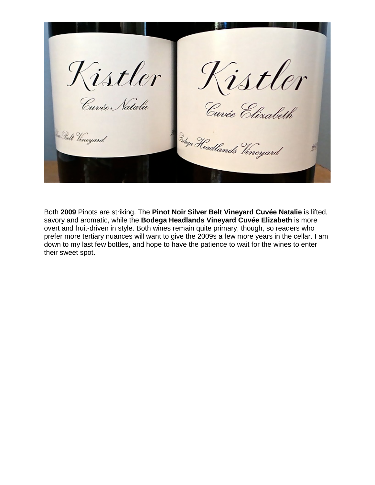Kistler Kistler<br>Cuvée Natalie Cuvée Élizabeth <sup>Budega</sup> Headlands Vineyard Belt Vineyard

Both **2009** Pinots are striking. The **Pinot Noir Silver Belt Vineyard Cuvée Natalie** is lifted, savory and aromatic, while the **Bodega Headlands Vineyard Cuvée Elizabeth** is more overt and fruit-driven in style. Both wines remain quite primary, though, so readers who prefer more tertiary nuances will want to give the 2009s a few more years in the cellar. I am down to my last few bottles, and hope to have the patience to wait for the wines to enter their sweet spot.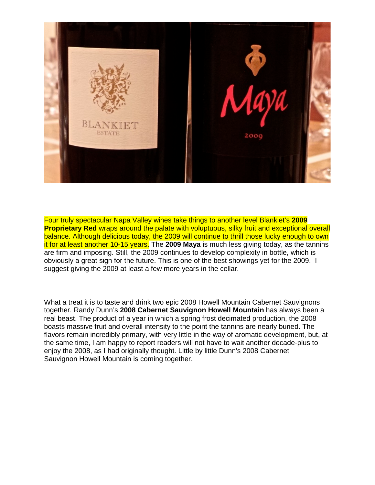

Four truly spectacular Napa Valley wines take things to another level Blankiet's **2009 Proprietary Red** wraps around the palate with voluptuous, silky fruit and exceptional overall balance. Although delicious today, the 2009 will continue to thrill those lucky enough to own it for at least another 10-15 years. The **2009 Maya** is much less giving today, as the tannins are firm and imposing. Still, the 2009 continues to develop complexity in bottle, which is obviously a great sign for the future. This is one of the best showings yet for the 2009. I suggest giving the 2009 at least a few more years in the cellar.

What a treat it is to taste and drink two epic 2008 Howell Mountain Cabernet Sauvignons together. Randy Dunn's **2008 Cabernet Sauvignon Howell Mountain** has always been a real beast. The product of a year in which a spring frost decimated production, the 2008 boasts massive fruit and overall intensity to the point the tannins are nearly buried. The flavors remain incredibly primary, with very little in the way of aromatic development, but, at the same time, I am happy to report readers will not have to wait another decade-plus to enjoy the 2008, as I had originally thought. Little by little Dunn's 2008 Cabernet Sauvignon Howell Mountain is coming together.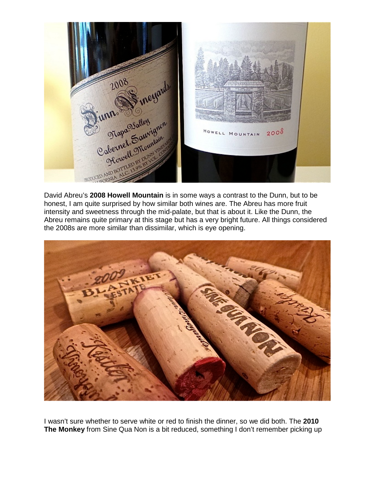

David Abreu's **2008 Howell Mountain** is in some ways a contrast to the Dunn, but to be honest, I am quite surprised by how similar both wines are. The Abreu has more fruit intensity and sweetness through the mid-palate, but that is about it. Like the Dunn, the Abreu remains quite primary at this stage but has a very bright future. All things considered the 2008s are more similar than dissimilar, which is eye opening.



I wasn't sure whether to serve white or red to finish the dinner, so we did both. The **2010 The Monkey** from Sine Qua Non is a bit reduced, something I don't remember picking up